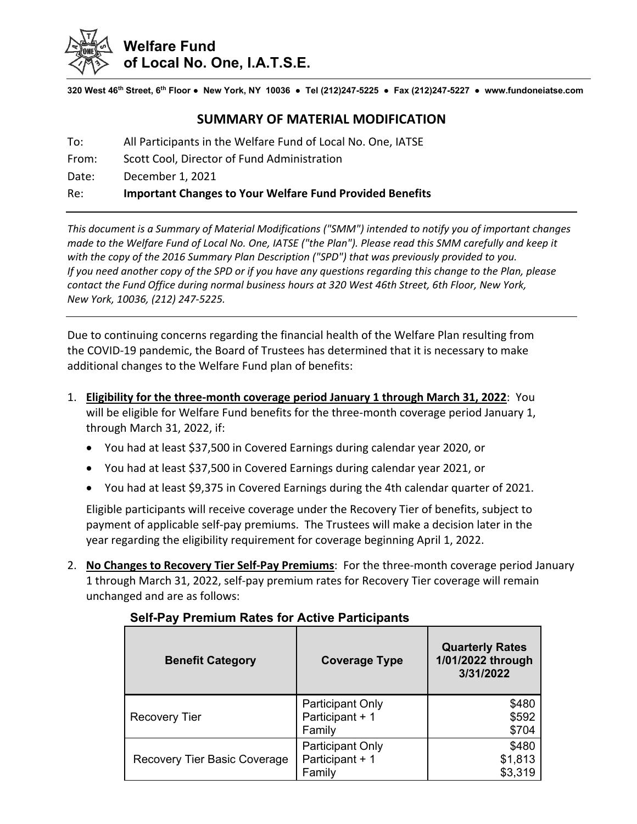

**320 West 46th Street, 6th Floor ● New York, NY 10036 ● Tel (212)247-5225 ● Fax (212)247-5227 ● www.fundoneiatse.com** 

# **SUMMARY OF MATERIAL MODIFICATION**

To: All Participants in the Welfare Fund of Local No. One, IATSE

From: Scott Cool, Director of Fund Administration

Date: December 1, 2021

#### Re: **Important Changes to Your Welfare Fund Provided Benefits**

*This document is a Summary of Material Modifications ("SMM") intended to notify you of important changes* made to the Welfare Fund of Local No. One, IATSE ("the Plan"). Please read this SMM carefully and keep it *with the copy of the 2016 Summary Plan Description ("SPD") that was previously provided to you.*  If you need another copy of the SPD or if you have any questions regarding this change to the Plan, please contact the Fund Office during normal business hours at 320 West 46th Street, 6th Floor, New York, *New York, 10036, (212) 247‐5225.*

Due to continuing concerns regarding the financial health of the Welfare Plan resulting from the COVID‐19 pandemic, the Board of Trustees has determined that it is necessary to make additional changes to the Welfare Fund plan of benefits:

- 1. **Eligibility for the three‐month coverage period January 1 through March 31, 2022**: You will be eligible for Welfare Fund benefits for the three-month coverage period January 1, through March 31, 2022, if:
	- You had at least \$37,500 in Covered Earnings during calendar year 2020, or
	- You had at least \$37,500 in Covered Earnings during calendar year 2021, or
	- You had at least \$9,375 in Covered Earnings during the 4th calendar quarter of 2021.

Eligible participants will receive coverage under the Recovery Tier of benefits, subject to payment of applicable self‐pay premiums. The Trustees will make a decision later in the year regarding the eligibility requirement for coverage beginning April 1, 2022.

2. **No Changes to Recovery Tier Self‐Pay Premiums**: For the three‐month coverage period January 1 through March 31, 2022, self‐pay premium rates for Recovery Tier coverage will remain unchanged and are as follows:

| <b>Benefit Category</b>      | <b>Coverage Type</b>                                 | <b>Quarterly Rates</b><br>1/01/2022 through<br>3/31/2022 |
|------------------------------|------------------------------------------------------|----------------------------------------------------------|
| <b>Recovery Tier</b>         | <b>Participant Only</b><br>Participant + 1<br>Family | \$480<br>\$592<br>\$704                                  |
| Recovery Tier Basic Coverage | <b>Participant Only</b><br>Participant + 1<br>Family | \$480<br>\$1,813<br>\$3,319                              |

### **Self-Pay Premium Rates for Active Participants**